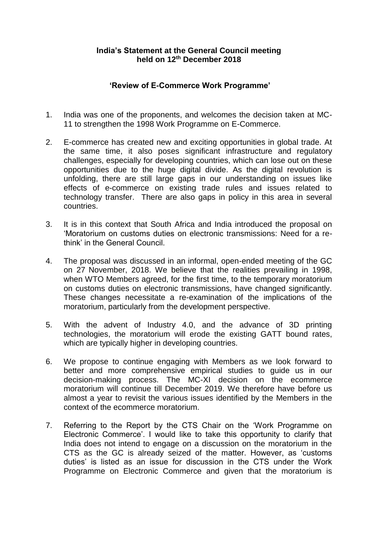## **India's Statement at the General Council meeting held on 12th December 2018**

## **'Review of E-Commerce Work Programme'**

- 1. India was one of the proponents, and welcomes the decision taken at MC-11 to strengthen the 1998 Work Programme on E-Commerce.
- 2. E-commerce has created new and exciting opportunities in global trade. At the same time, it also poses significant infrastructure and regulatory challenges, especially for developing countries, which can lose out on these opportunities due to the huge digital divide. As the digital revolution is unfolding, there are still large gaps in our understanding on issues like effects of e-commerce on existing trade rules and issues related to technology transfer. There are also gaps in policy in this area in several countries.
- 3. It is in this context that South Africa and India introduced the proposal on 'Moratorium on customs duties on electronic transmissions: Need for a rethink' in the General Council.
- 4. The proposal was discussed in an informal, open-ended meeting of the GC on 27 November, 2018. We believe that the realities prevailing in 1998, when WTO Members agreed, for the first time, to the temporary moratorium on customs duties on electronic transmissions, have changed significantly. These changes necessitate a re-examination of the implications of the moratorium, particularly from the development perspective.
- 5. With the advent of Industry 4.0, and the advance of 3D printing technologies, the moratorium will erode the existing GATT bound rates, which are typically higher in developing countries.
- 6. We propose to continue engaging with Members as we look forward to better and more comprehensive empirical studies to guide us in our decision-making process. The MC-XI decision on the ecommerce moratorium will continue till December 2019. We therefore have before us almost a year to revisit the various issues identified by the Members in the context of the ecommerce moratorium.
- 7. Referring to the Report by the CTS Chair on the 'Work Programme on Electronic Commerce'. I would like to take this opportunity to clarify that India does not intend to engage on a discussion on the moratorium in the CTS as the GC is already seized of the matter. However, as 'customs duties' is listed as an issue for discussion in the CTS under the Work Programme on Electronic Commerce and given that the moratorium is